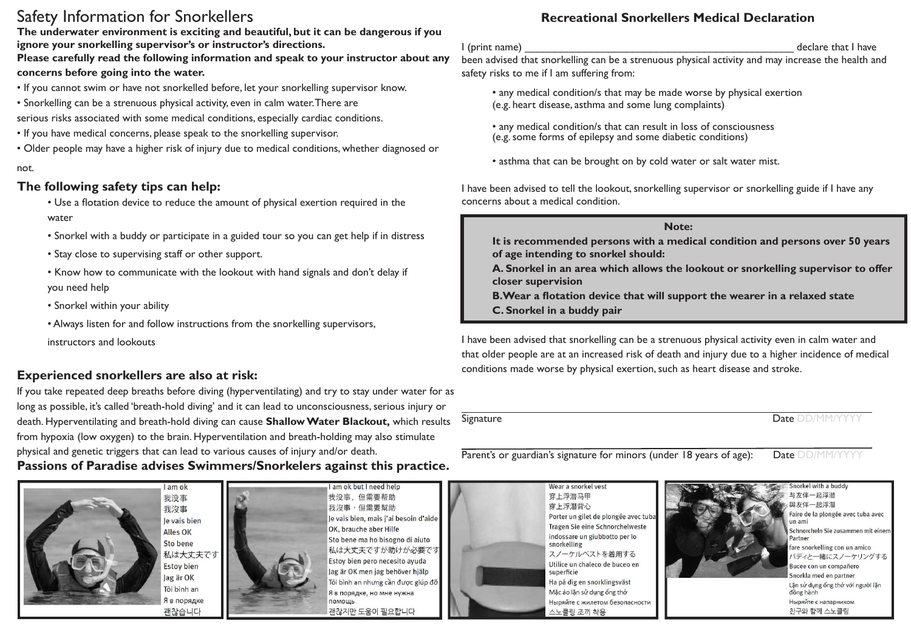# Safety Information for Snorkellers

**The underwater environment is exciting and beautiful, but it can be dangerous if you ignore your snorkelling supervisor's or instructor's directions.**

**Please carefully read the following information and speak to your instructor about any concerns before going into the water.**

- If you cannot swim or have not snorkelled before, let your snorkelling supervisor know.
- Snorkelling can be a strenuous physical activity, even in calm water. There are

serious risks associated with some medical conditions, especially cardiac conditions.

- If you have medical concerns, please speak to the snorkelling supervisor.
- Older people may have a higher risk of injury due to medical conditions, whether diagnosed or

### not.

## **The following safety tips can help:**

- Use a flotation device to reduce the amount of physical exertion required in the water
- Snorkel with a buddy or participate in a guided tour so you can get help if in distress
- Stay close to supervising staff or other support.
- Know how to communicate with the lookout with hand signals and don't delay if you need help
- Snorkel within your ability
- Always listen for and follow instructions from the snorkelling supervisors,

instructors and lookouts

# **Experienced snorkellers are also at risk:**

If you take repeated deep breaths before diving (hyperventilating) and try to stay under water for as long as possible, it's called 'breath-hold diving' and it can lead to unconsciousness, serious injury or death. Hyperventilating and breath-hold diving can cause **Shallow Water Blackout,** which results from hypoxia (low oxygen) to the brain. Hyperventilation and breath-holding may also stimulate physical and genetic triggers that can lead to various causes of injury and/or death.

# **Passions of Paradise advises Swimmers/Snorkelers against this practice.**



我没事 我沒事 le vais bien Alles OK Sto bene 私は大丈夫です **Estoy bien** Jag är OK Tôi bình an Я в порядке 괜찮습니다

am ok



I am ok but I need help 我没事, 但需要帮助 我沒事,但需要幫助 Je vais bien, mais j'ai besoin d'aide OK, brauche aber Hilfe Sto bene ma ho bisogno di aiuto 私は大丈夫ですが助けが必要です Estoy bien pero necesito ayuda Jag är OK men jag behöver hjälp Tôi bình an nhưng cần được giúp đỡ Я в порядке, но мне нужна помощь 관찮지만 도움이 필요합니다

## **Recreational Snorkellers Medical Declaration**

I (print name) and the state of the state of the state of the state of the state of the state of the state of t been advised that snorkelling can be a strenuous physical activity and may increase the health and safety risks to me if I am suffering from:

- any medical condition/s that may be made worse by physical exertion (e.g. heart disease, asthma and some lung complaints)
- any medical condition/s that can result in loss of consciousness (e.g. some forms of epilepsy and some diabetic conditions)
- asthma that can be brought on by cold water or salt water mist.

I have been advised to tell the lookout, snorkelling supervisor or snorkelling guide if I have any concerns about a medical condition.

### **Note:**

**It is recommended persons with a medical condition and persons over 50 years of age intending to snorkel should:**

**A. Snorkel in an area which allows the lookout or snorkelling supervisor to offer closer supervision**

- **B.Wear a flotation device that will support the wearer in a relaxed state**
- **C. Snorkel in a buddy pair**

I have been advised that snorkelling can be a strenuous physical activity even in calm water and that older people are at an increased risk of death and injury due to a higher incidence of medical conditions made worse by physical exertion, such as heart disease and stroke.

Signature Date DD/MM/YYYYY

Parent's or guardian's signature for minors (under 18 years of age): Date DD/MM/YYY





与友伴一起浮潜 與友伴一起浮潛 Faire de la plongée avec tuba avec  $\mathbf{u}$ n ami Schnorcheln Sie zusammen mit einer Partner fare snorkelling con un amico バディと一緒にスノーケリングする Bucee con un compañero Snorkla med en partner Lặn sử dụng ống thở với người lặn đồng hành Ныряйте с напарником 친구와 함께 스노클링